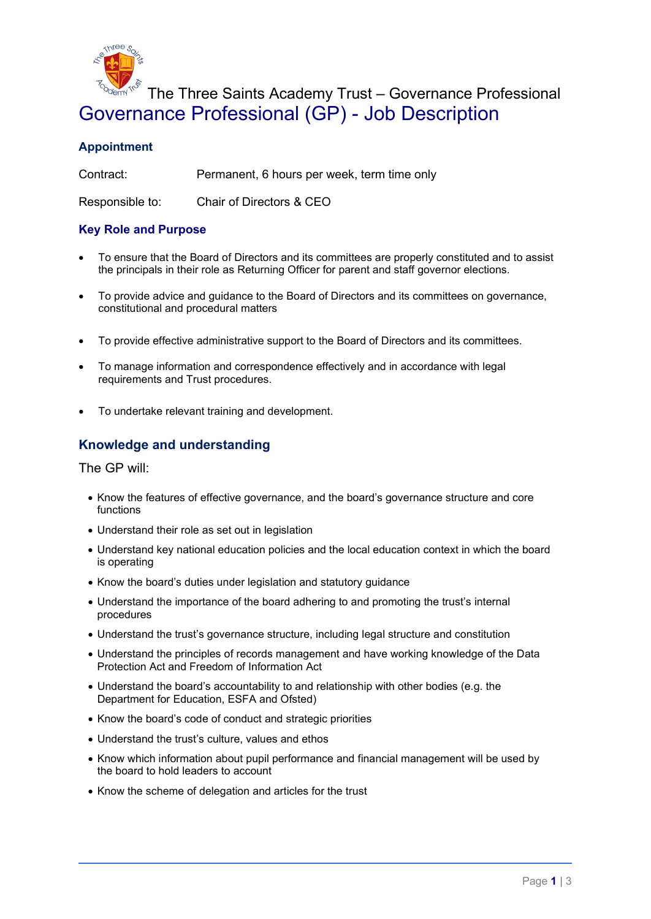

# The Three Saints Academy Trust – Governance Professional Governance Professional (GP) - Job Description

## **Appointment**

Contract: Permanent, 6 hours per week, term time only

Responsible to: Chair of Directors & CEO

#### **Key Role and Purpose**

- To ensure that the Board of Directors and its committees are properly constituted and to assist the principals in their role as Returning Officer for parent and staff governor elections.
- To provide advice and guidance to the Board of Directors and its committees on governance, constitutional and procedural matters
- To provide effective administrative support to the Board of Directors and its committees.
- To manage information and correspondence effectively and in accordance with legal requirements and Trust procedures.
- To undertake relevant training and development.

### **Knowledge and understanding**

The GP will:

- Know the features of effective governance, and the board's governance structure and core functions
- Understand their role as set out in legislation
- Understand key national education policies and the local education context in which the board is operating
- Know the board's duties under legislation and statutory guidance
- Understand the importance of the board adhering to and promoting the trust's internal procedures
- Understand the trust's governance structure, including legal structure and constitution
- Understand the principles of records management and have working knowledge of the Data Protection Act and Freedom of Information Act
- Understand the board's accountability to and relationship with other bodies (e.g. the Department for Education, ESFA and Ofsted)
- Know the board's code of conduct and strategic priorities
- Understand the trust's culture, values and ethos
- Know which information about pupil performance and financial management will be used by the board to hold leaders to account
- Know the scheme of delegation and articles for the trust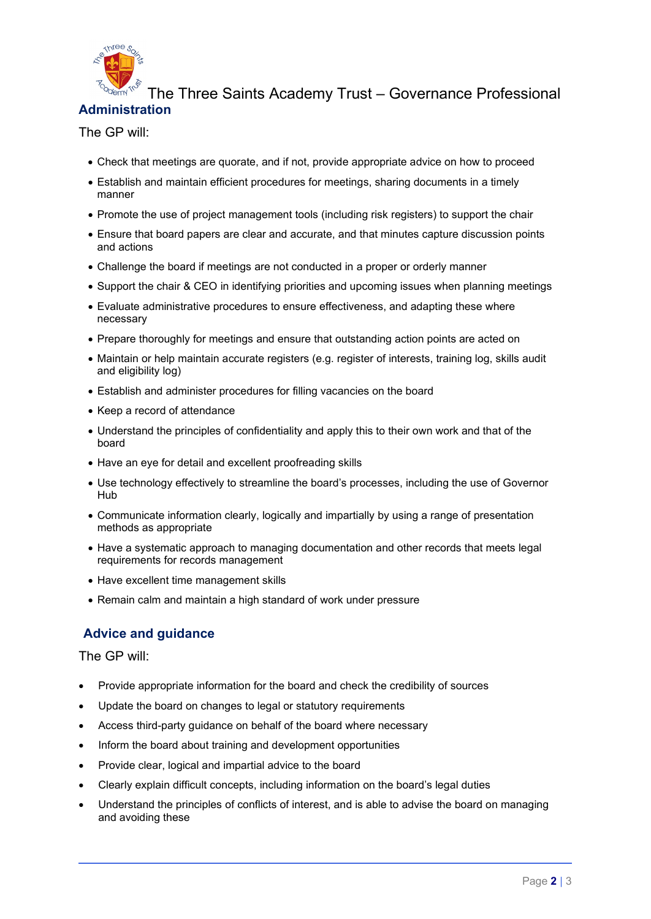

#### The Three Saints Academy Trust – Governance Professional **Administration**

## The GP will:

- Check that meetings are quorate, and if not, provide appropriate advice on how to proceed
- Establish and maintain efficient procedures for meetings, sharing documents in a timely manner
- Promote the use of project management tools (including risk registers) to support the chair
- Ensure that board papers are clear and accurate, and that minutes capture discussion points and actions
- Challenge the board if meetings are not conducted in a proper or orderly manner
- Support the chair & CEO in identifying priorities and upcoming issues when planning meetings
- Evaluate administrative procedures to ensure effectiveness, and adapting these where necessary
- Prepare thoroughly for meetings and ensure that outstanding action points are acted on
- Maintain or help maintain accurate registers (e.g. register of interests, training log, skills audit and eligibility log)
- Establish and administer procedures for filling vacancies on the board
- Keep a record of attendance
- Understand the principles of confidentiality and apply this to their own work and that of the board
- Have an eye for detail and excellent proofreading skills
- Use technology effectively to streamline the board's processes, including the use of Governor Hub
- Communicate information clearly, logically and impartially by using a range of presentation methods as appropriate
- Have a systematic approach to managing documentation and other records that meets legal requirements for records management
- Have excellent time management skills
- Remain calm and maintain a high standard of work under pressure

# **Advice and guidance**

#### The GP will:

- Provide appropriate information for the board and check the credibility of sources
- Update the board on changes to legal or statutory requirements
- Access third-party guidance on behalf of the board where necessary
- Inform the board about training and development opportunities
- Provide clear, logical and impartial advice to the board
- Clearly explain difficult concepts, including information on the board's legal duties
- Understand the principles of conflicts of interest, and is able to advise the board on managing and avoiding these